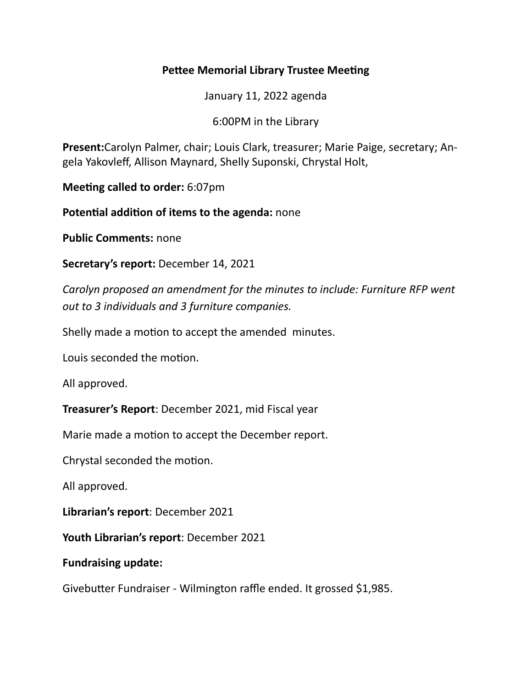## **Pettee Memorial Library Trustee Meeting**

January 11, 2022 agenda

6:00PM in the Library

**Present:**Carolyn Palmer, chair; Louis Clark, treasurer; Marie Paige, secretary; Angela Yakovleff, Allison Maynard, Shelly Suponski, Chrystal Holt,

**Meeting called to order:** 6:07pm

**Potential addition of items to the agenda:** none

**Public Comments: none** 

**Secretary's report:** December 14, 2021

*Carolyn proposed an amendment for the minutes to include: Furniture RFP went* out to 3 individuals and 3 furniture companies.

Shelly made a motion to accept the amended minutes.

Louis seconded the motion.

All approved.

**Treasurer's Report:** December 2021, mid Fiscal year

Marie made a motion to accept the December report.

Chrystal seconded the motion.

All approved.

Librarian's report: December 2021

Youth Librarian's report: December 2021

## **Fundraising update:**

Givebutter Fundraiser - Wilmington raffle ended. It grossed \$1,985.